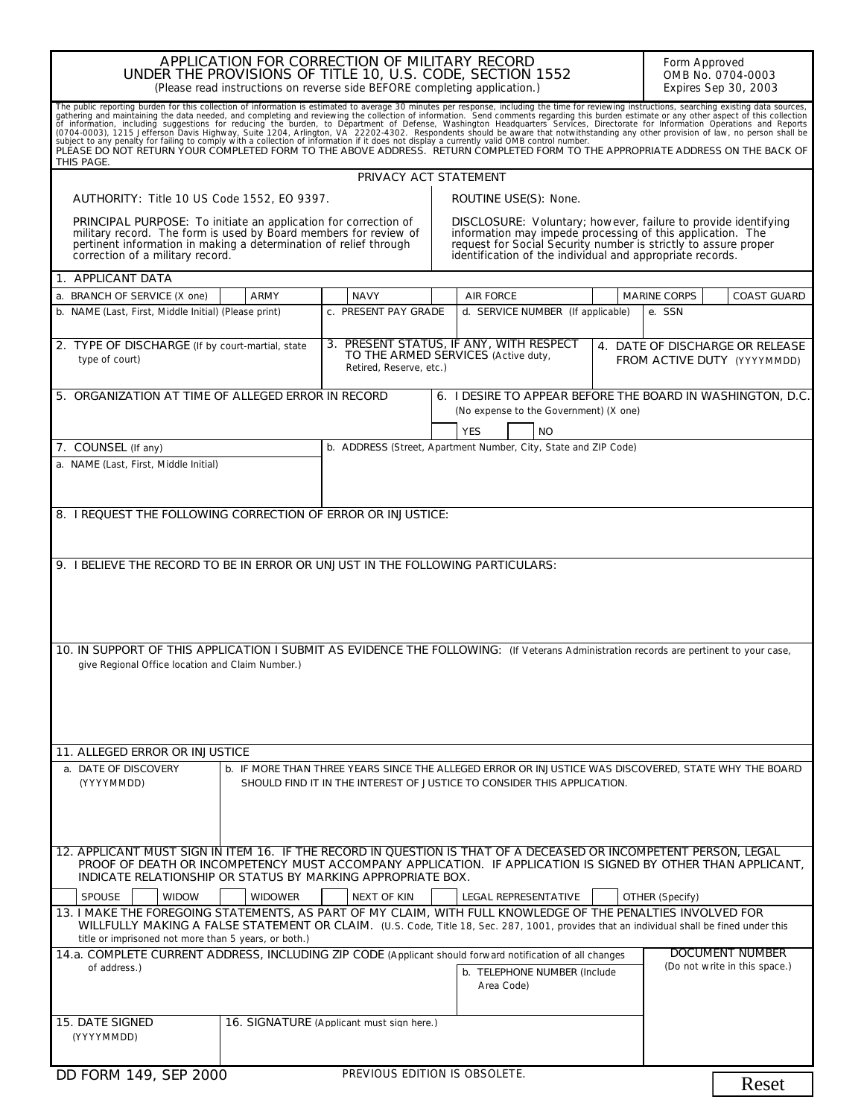| APPLICATION FOR CORRECTION OF MILITARY RECORD<br>UNDER THE PROVISIONS OF TITLE 10, U.S. CODE, SECTION 1552<br>(Please read instructions on reverse side BEFORE completing application.)                                                                                                                                                                                       |                                           |                                                                                                                                                                                                                                                              |  | Form Approved<br>OMB No. 0704-0003<br>Expires Sep 30, 2003                                           |
|-------------------------------------------------------------------------------------------------------------------------------------------------------------------------------------------------------------------------------------------------------------------------------------------------------------------------------------------------------------------------------|-------------------------------------------|--------------------------------------------------------------------------------------------------------------------------------------------------------------------------------------------------------------------------------------------------------------|--|------------------------------------------------------------------------------------------------------|
| The public reporting burden for this collection of information is estimated to average 30 minutes per response, including the time for reviewing instructions, searching existing data sources, gathering and maintaining the<br>PLEASE DO NOT RETURN YOUR COMPLETED FORM TO THE ABOVE ADDRESS. RETURN COMPLETED FORM TO THE APPROPRIATE ADDRESS ON THE BACK OF<br>THIS PAGE. |                                           |                                                                                                                                                                                                                                                              |  |                                                                                                      |
|                                                                                                                                                                                                                                                                                                                                                                               | PRIVACY ACT STATEMENT                     |                                                                                                                                                                                                                                                              |  |                                                                                                      |
| <b>AUTHORITY: Title 10 US Code 1552, EO 9397.</b>                                                                                                                                                                                                                                                                                                                             |                                           | ROUTINE USE(S): None.                                                                                                                                                                                                                                        |  |                                                                                                      |
| PRINCIPAL PURPOSE: To initiate an application for correction of<br>military record. The form is used by Board members for review of<br>pertinent information in making a determination of relief through<br>correction of a military record.                                                                                                                                  |                                           | DISCLOSURE: Voluntary; however, failure to provide identifying<br>information may impede processing of this application. The<br>request for Social Security number is strictly to assure proper<br>identification of the individual and appropriate records. |  |                                                                                                      |
| 1. APPLICANT DATA                                                                                                                                                                                                                                                                                                                                                             |                                           |                                                                                                                                                                                                                                                              |  |                                                                                                      |
| a. BRANCH OF SERVICE (X one)<br><b>ARMY</b>                                                                                                                                                                                                                                                                                                                                   | <b>NAVY</b>                               | <b>AIR FORCE</b>                                                                                                                                                                                                                                             |  | <b>MARINE CORPS</b><br><b>COAST GUARD</b>                                                            |
| b. NAME (Last, First, Middle Initial) (Please print)                                                                                                                                                                                                                                                                                                                          | c. PRESENT PAY GRADE                      | d. SERVICE NUMBER (If applicable)                                                                                                                                                                                                                            |  | e. SSN                                                                                               |
| 2. TYPE OF DISCHARGE (If by court-martial, state<br>type of court)                                                                                                                                                                                                                                                                                                            | Retired, Reserve, etc.)                   | 3. PRESENT STATUS, IF ANY, WITH RESPECT<br>TO THE ARMED SERVICES (Active duty,                                                                                                                                                                               |  | 4. DATE OF DISCHARGE OR RELEASE<br>FROM ACTIVE DUTY (YYYYMMDD)                                       |
| 5. ORGANIZATION AT TIME OF ALLEGED ERROR IN RECORD                                                                                                                                                                                                                                                                                                                            |                                           | 6. I DESIRE TO APPEAR BEFORE THE BOARD IN WASHINGTON, D.C.<br>(No expense to the Government) (X one)<br><b>YES</b><br><b>NO</b>                                                                                                                              |  |                                                                                                      |
| 7. COUNSEL (If any)                                                                                                                                                                                                                                                                                                                                                           |                                           | b. ADDRESS (Street, Apartment Number, City, State and ZIP Code)                                                                                                                                                                                              |  |                                                                                                      |
| a. NAME (Last, First, Middle Initial)                                                                                                                                                                                                                                                                                                                                         |                                           |                                                                                                                                                                                                                                                              |  |                                                                                                      |
| 8. I REQUEST THE FOLLOWING CORRECTION OF ERROR OR INJUSTICE:                                                                                                                                                                                                                                                                                                                  |                                           |                                                                                                                                                                                                                                                              |  |                                                                                                      |
|                                                                                                                                                                                                                                                                                                                                                                               |                                           |                                                                                                                                                                                                                                                              |  |                                                                                                      |
| 9. I BELIEVE THE RECORD TO BE IN ERROR OR UNJUST IN THE FOLLOWING PARTICULARS:                                                                                                                                                                                                                                                                                                |                                           |                                                                                                                                                                                                                                                              |  |                                                                                                      |
| 10. IN SUPPORT OF THIS APPLICATION I SUBMIT AS EVIDENCE THE FOLLOWING: (If Veterans Administration records are pertinent to your case,<br>give Regional Office location and Claim Number.)                                                                                                                                                                                    |                                           |                                                                                                                                                                                                                                                              |  |                                                                                                      |
|                                                                                                                                                                                                                                                                                                                                                                               |                                           |                                                                                                                                                                                                                                                              |  |                                                                                                      |
| <b>11. ALLEGED ERROR OR INJUSTICE</b><br>a. DATE OF DISCOVERY                                                                                                                                                                                                                                                                                                                 |                                           |                                                                                                                                                                                                                                                              |  | b. IF MORE THAN THREE YEARS SINCE THE ALLEGED ERROR OR INJUSTICE WAS DISCOVERED, STATE WHY THE BOARD |
| (YYYYMMDD)                                                                                                                                                                                                                                                                                                                                                                    |                                           | SHOULD FIND IT IN THE INTEREST OF JUSTICE TO CONSIDER THIS APPLICATION.                                                                                                                                                                                      |  |                                                                                                      |
| 12. APPLICANT MUST SIGN IN ITEM 16. IF THE RECORD IN QUESTION IS THAT OF A DECEASED OR INCOMPETENT PERSON, LEGAL<br>PROOF OF DEATH OR INCOMPETENCY MUST ACCOMPANY APPLICATION. IF APPLICATION IS SIGNED BY OTHER THAN APPLICANT,<br>INDICATE RELATIONSHIP OR STATUS BY MARKING APPROPRIATE BOX.                                                                               |                                           |                                                                                                                                                                                                                                                              |  |                                                                                                      |
| <b>SPOUSE</b><br><b>WIDOW</b><br><b>WIDOWER</b>                                                                                                                                                                                                                                                                                                                               | <b>NEXT OF KIN</b>                        | <b>LEGAL REPRESENTATIVE</b>                                                                                                                                                                                                                                  |  | <b>OTHER</b> (Specify)                                                                               |
| 13. I MAKE THE FOREGOING STATEMENTS, AS PART OF MY CLAIM, WITH FULL KNOWLEDGE OF THE PENALTIES INVOLVED FOR<br>WILLFULLY MAKING A FALSE STATEMENT OR CLAIM. (U.S. Code, Title 18, Sec. 287, 1001, provides that an individual shall be fined under this                                                                                                                       |                                           |                                                                                                                                                                                                                                                              |  |                                                                                                      |
| title or imprisoned not more than 5 years, or both.)<br>14.a. COMPLETE CURRENT ADDRESS, INCLUDING ZIP CODE (Applicant should forward notification of all changes                                                                                                                                                                                                              |                                           |                                                                                                                                                                                                                                                              |  | <b>DOCUMENT NUMBER</b>                                                                               |
| of address.)                                                                                                                                                                                                                                                                                                                                                                  |                                           | b. TELEPHONE NUMBER (Include<br>Area Code)                                                                                                                                                                                                                   |  | (Do not write in this space.)                                                                        |
| <b>15. DATE SIGNED</b><br>(YYYYMMDD)                                                                                                                                                                                                                                                                                                                                          | 16. SIGNATURE (Applicant must sign here.) |                                                                                                                                                                                                                                                              |  |                                                                                                      |